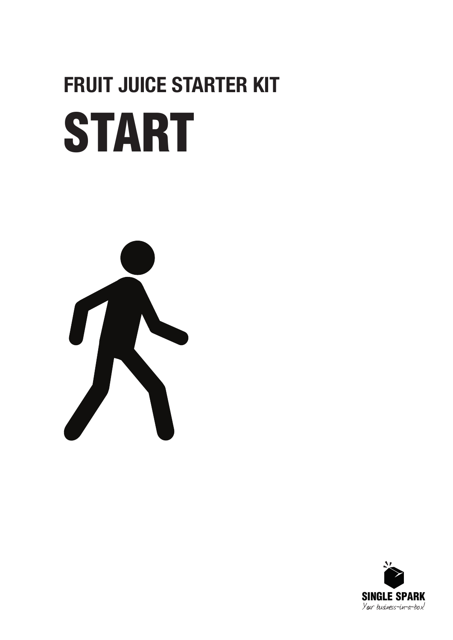# START **FRUIT JUICE STARTER KIT**



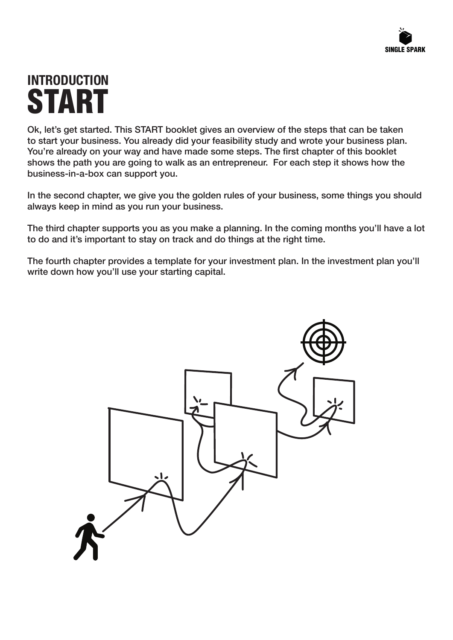### **INTRODUCTION** START

Ok, let's get started. This START booklet gives an overview of the steps that can be taken to start your business. You already did your feasibility study and wrote your business plan. You're already on your way and have made some steps. The first chapter of this booklet shows the path you are going to walk as an entrepreneur. For each step it shows how the business-in-a-box can support you.

In the second chapter, we give you the golden rules of your business, some things you should always keep in mind as you run your business.

The third chapter supports you as you make a planning. In the coming months you'll have a lot to do and it's important to stay on track and do things at the right time.

The fourth chapter provides a template for your investment plan. In the investment plan you'll write down how you'll use your starting capital.

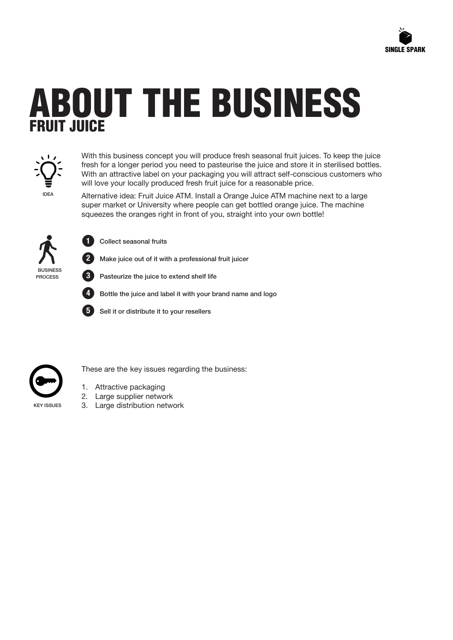

### ABOUT THE BUSINESS **FRUIT JUICE**



With this business concept you will produce fresh seasonal fruit juices. To keep the juice fresh for a longer period you need to pasteurise the juice and store it in sterilised bottles. With an attractive label on your packaging you will attract self-conscious customers who will love your locally produced fresh fruit juice for a reasonable price.

IDEA

Alternative idea: Fruit Juice ATM. Install a Orange Juice ATM machine next to a large super market or University where people can get bottled orange juice. The machine squeezes the oranges right in front of you, straight into your own bottle!



Collect seasonal fruits

Make juice out of it with a professional fruit juicer



**1**

**2**

**3**

**5**

Pasteurize the juice to extend shelf life

Bottle the juice and label it with your brand name and logo

Sell it or distribute it to your resellers



These are the key issues regarding the business:

- 1. Attractive packaging
- 2. Large supplier network
- 3. Large distribution network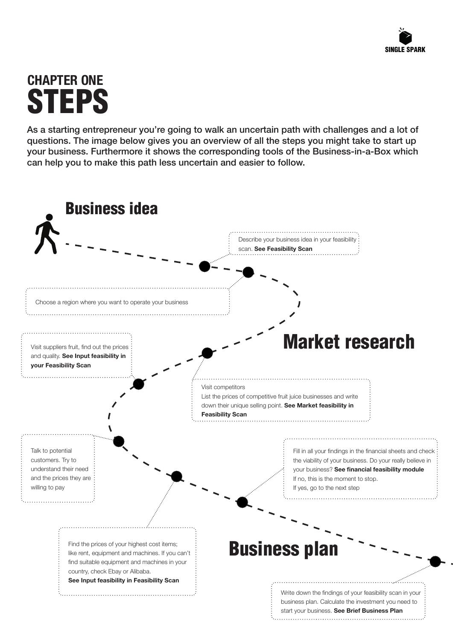### **CHAPTER ONE STEPS**

As a starting entrepreneur you're going to walk an uncertain path with challenges and a lot of questions. The image below gives you an overview of all the steps you might take to start up your business. Furthermore it shows the corresponding tools of the Business-in-a-Box which can help you to make this path less uncertain and easier to follow.

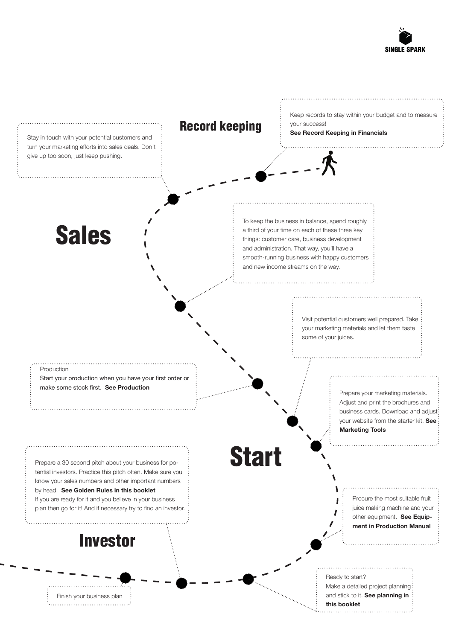

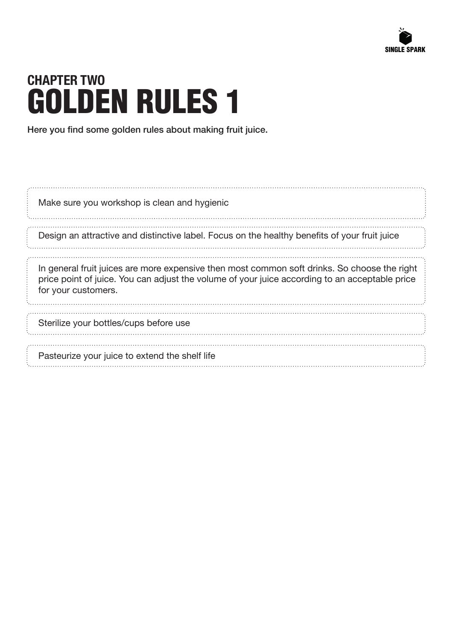

### **CHAPTER TWO** GOLDEN RULES 1

Here you find some golden rules about making fruit juice.

| Make sure you workshop is clean and hygienic                                                                                                                                                                          |  |
|-----------------------------------------------------------------------------------------------------------------------------------------------------------------------------------------------------------------------|--|
| Design an attractive and distinctive label. Focus on the healthy benefits of your fruit juice                                                                                                                         |  |
| In general fruit juices are more expensive then most common soft drinks. So choose the right<br>price point of juice. You can adjust the volume of your juice according to an acceptable price<br>for your customers. |  |
| Sterilize your bottles/cups before use                                                                                                                                                                                |  |
| Pasteurize your juice to extend the shelf life                                                                                                                                                                        |  |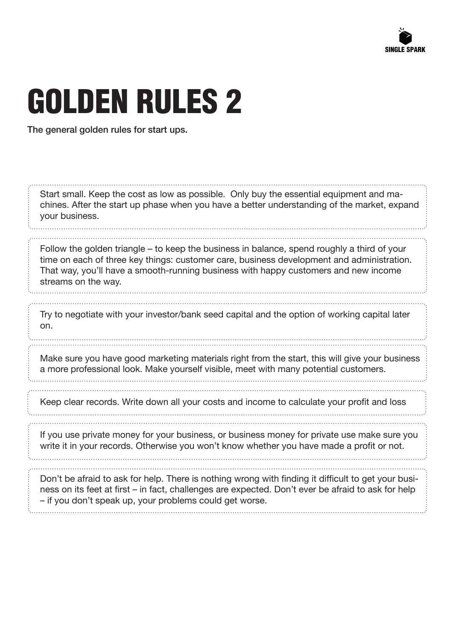

## GOLDEN RULES 2

The general golden rules for start ups.

| Start small. Keep the cost as low as possible. Only buy the essential equipment and ma-<br>chines. After the start up phase when you have a better understanding of the market, expand<br>your business.                                                             |
|----------------------------------------------------------------------------------------------------------------------------------------------------------------------------------------------------------------------------------------------------------------------|
| Follow the golden triangle – to keep the business in balance, spend roughly a third of your<br>time on each of three key things: customer care, business development and administration.                                                                             |
| That way, you'll have a smooth-running business with happy customers and new income<br>streams on the way.                                                                                                                                                           |
|                                                                                                                                                                                                                                                                      |
| Try to negotiate with your investor/bank seed capital and the option of working capital later<br>on.                                                                                                                                                                 |
|                                                                                                                                                                                                                                                                      |
| Make sure you have good marketing materials right from the start, this will give your business<br>a more professional look. Make yourself visible, meet with many potential customers.                                                                               |
|                                                                                                                                                                                                                                                                      |
| Keep clear records. Write down all your costs and income to calculate your profit and loss                                                                                                                                                                           |
|                                                                                                                                                                                                                                                                      |
| If you use private money for your business, or business money for private use make sure you<br>write it in your records. Otherwise you won't know whether you have made a profit or not.                                                                             |
|                                                                                                                                                                                                                                                                      |
| Don't be afraid to ask for help. There is nothing wrong with finding it difficult to get your busi-<br>ness on its feet at first – in fact, challenges are expected. Don't ever be afraid to ask for help<br>- if you don't speak up, your problems could get worse. |
|                                                                                                                                                                                                                                                                      |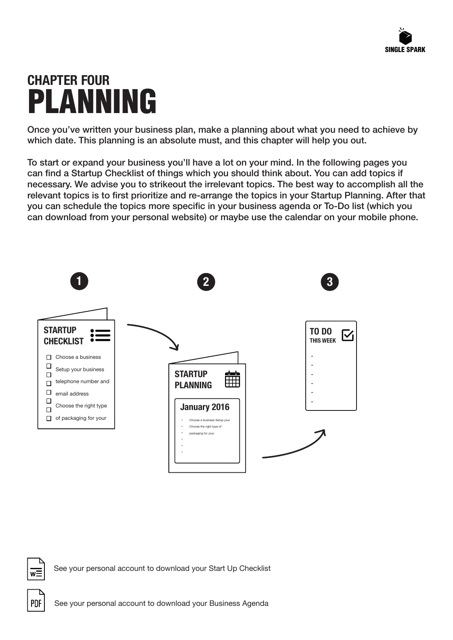### **CHAPTER FOUR** PLANNING

Once you've written your business plan, make a planning about what you need to achieve by which date. This planning is an absolute must, and this chapter will help you out.

To start or expand your business you'll have a lot on your mind. In the following pages you can find a Startup Checklist of things which you should think about. You can add topics if necessary. We advise you to strikeout the irrelevant topics. The best way to accomplish all the relevant topics is to first prioritize and re-arrange the topics in your Startup Planning. After that you can schedule the topics more specific in your business agenda or To-Do list (which you can download from your personal website) or maybe use the calendar on your mobile phone.



See your personal account to download your Start Up Checklist



 $W$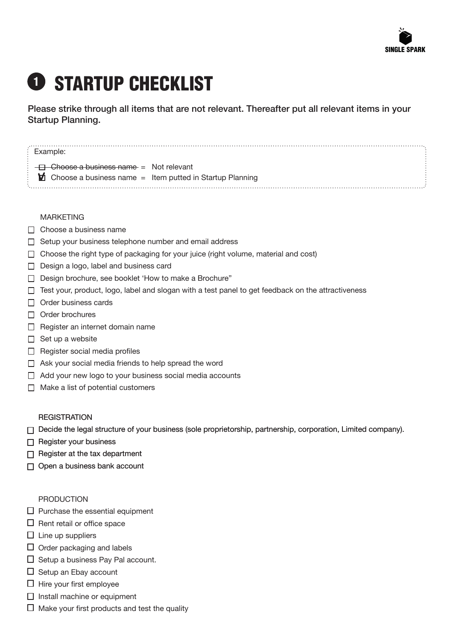

### **D STARTUP CHECKLIST**

Please strike through all items that are not relevant. Thereafter put all relevant items in your Startup Planning.

#### MARKETING

- $\Box$  Choose a business name
- $\Box$  Setup your business telephone number and email address
- $\Box$  Choose the right type of packaging for your juice (right volume, material and cost)
- $\Box$  Design a logo, label and business card
- □ Design brochure, see booklet 'How to make a Brochure"
- $\Box$  Test your, product, logo, label and slogan with a test panel to get feedback on the attractiveness
- $\Box$  Order business cards
- $\Box$  Order brochures
- $\Box$  Register an internet domain name
- $\Box$  Set up a website
- $\Box$  Register social media profiles
- $\Box$  Ask your social media friends to help spread the word
- $\Box$  Add your new logo to your business social media accounts
- $\Box$  Make a list of potential customers

#### **REGISTRATION**

- $\Box$  Decide the legal structure of your business (sole proprietorship, partnership, corporation, Limited company).
- $\Box$  Register your business
- $\Box$  Register at the tax department
- □ Open a business bank account

#### PRODUCTION

- $\square$  Purchase the essential equipment
- $\Box$  Rent retail or office space
- $\square$  Line up suppliers
- $\Box$  Order packaging and labels
- $\Box$  Setup a business Pay Pal account.
- $\Box$  Setup an Ebay account
- $\Box$  Hire your first employee
- $\Box$  Install machine or equipment
- $\Box$  Make your first products and test the quality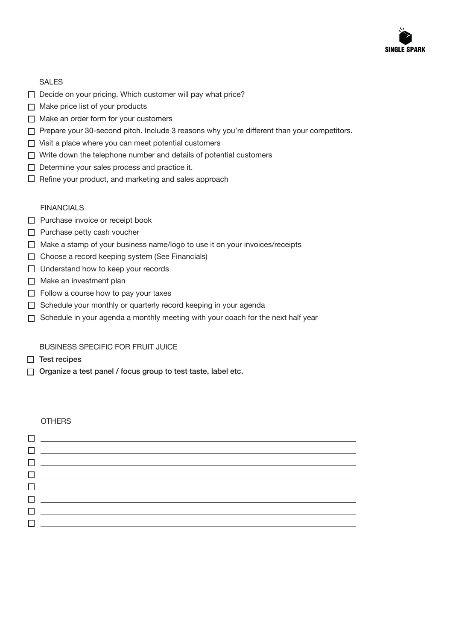

#### SALES

- Decide on your pricing. Which customer will pay what price?
- $\Box$  Make price list of your products
- $\Box$  Make an order form for your customers
- $\Box$  Prepare your 30-second pitch. Include 3 reasons why you're different than your competitors.
- $\Box$  Visit a place where you can meet potential customers
- $\Box$  Write down the telephone number and details of potential customers
- $\Box$  Determine your sales process and practice it.
- $\Box$  Refine your product, and marketing and sales approach

#### FINANCIALS

- □ Purchase invoice or receipt book
- $\Box$  Purchase petty cash voucher
- □ Make a stamp of your business name/logo to use it on your invoices/receipts
- □ Choose a record keeping system (See Financials)
- $\Box$  Understand how to keep your records
- $\Box$  Make an investment plan
- $\Box$  Follow a course how to pay your taxes
- $\Box$  Schedule your monthly or quarterly record keeping in your agenda
- $\Box$  Schedule in your agenda a monthly meeting with your coach for the next half year

#### BUSINESS SPECIFIC FOR FRUIT JUICE

- $\Box$  Test recipes
- $\Box$  Organize a test panel / focus group to test taste, label etc.

#### **OTHERS**

| $\Box$ and the contract of the contract of the contract of the contract of the contract of the contract of the contract of the contract of the contract of the contract of the contract of the contract of the contract of the |
|--------------------------------------------------------------------------------------------------------------------------------------------------------------------------------------------------------------------------------|
|                                                                                                                                                                                                                                |
|                                                                                                                                                                                                                                |
| $\Box$ and the contract of the contract of the contract of the contract of the contract of the contract of the contract of the contract of the contract of the contract of the contract of the contract of the contract of the |
| 0 _______________________________                                                                                                                                                                                              |
|                                                                                                                                                                                                                                |
|                                                                                                                                                                                                                                |
|                                                                                                                                                                                                                                |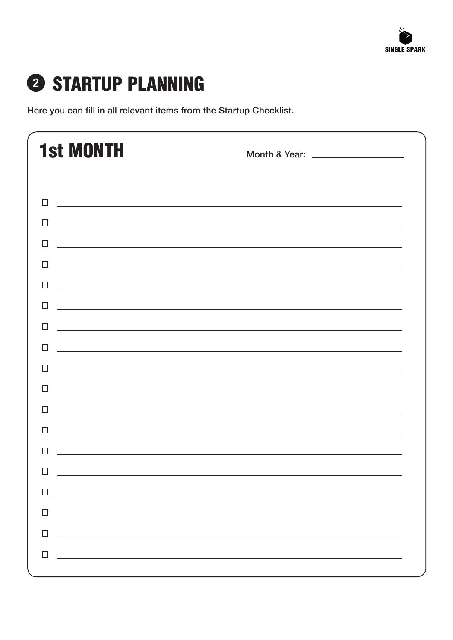

### STARTUP PLANNING **2**

Here you can fill in all relevant items from the Startup Checklist.

| <b>1st MONTH</b>                                                                                                           | Month & Year: ___________________                                                                                     |
|----------------------------------------------------------------------------------------------------------------------------|-----------------------------------------------------------------------------------------------------------------------|
| П<br><u> 1989 - Johann Harry Harry Harry Harry Harry Harry Harry Harry Harry Harry Harry Harry Harry Harry Harry Harry</u> |                                                                                                                       |
| ΙI                                                                                                                         | <u> 1989 - Johann Stoff, amerikansk politiker (d. 1989)</u>                                                           |
| $\Box$                                                                                                                     | <u> 1989 - Andrea Santa Andrea Santa Andrea Santa Andrea Santa Andrea Santa Andrea Santa Andrea Santa Andrea San</u>  |
| $\perp$                                                                                                                    | <u> 1989 - Johann Stoff, amerikansk politiker (d. 1989)</u>                                                           |
| П<br><u> 1989 - Johann Barn, fransk politik amerikansk politik (d. 1989)</u>                                               |                                                                                                                       |
| П                                                                                                                          | <u> 1989 - Johann Stoff, deutscher Stoff, der Stoff, der Stoff, der Stoff, der Stoff, der Stoff, der Stoff, der S</u> |
| П                                                                                                                          | <u> 1989 - Johann Stoff, amerikansk politiker (* 1908)</u>                                                            |
| П<br><u> 1989 - Andrea Stadt Britain, amerikansk politiker (</u>                                                           |                                                                                                                       |
| П                                                                                                                          |                                                                                                                       |
| $\perp$                                                                                                                    | <u> 1989 - Johann Harry Harry Harry Harry Harry Harry Harry Harry Harry Harry Harry Harry Harry Harry Harry Harry</u> |
|                                                                                                                            | ,我们也不会有什么。""我们的人,我们也不会有什么?""我们的人,我们也不会有什么?""我们的人,我们也不会有什么?""我们的人,我们也不会有什么?""我们的人                                      |
| $\mathbf{L}$                                                                                                               | <u> 1989 - Johann Harry Harry Harry Harry Harry Harry Harry Harry Harry Harry Harry Harry Harry Harry Harry Harry</u> |
|                                                                                                                            |                                                                                                                       |
| H                                                                                                                          |                                                                                                                       |
| П<br><u> 1989 - Johann John Stein, markin fan it ferstjer fan de ferstjer fan it ferstjer fan it ferstjer fan it fers</u>  |                                                                                                                       |
| $\Box$<br><u> 1989 - Andrea Stadt Britain, amerikansk politik (</u>                                                        |                                                                                                                       |
|                                                                                                                            |                                                                                                                       |
| П                                                                                                                          |                                                                                                                       |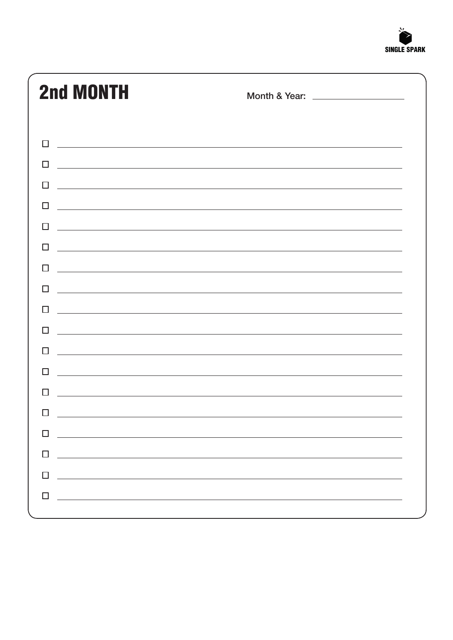

| <b>2nd MONTH</b>                                                                                                                                                                                                                                                                                                                                                                                                                                                            | Month & Year: ___________________ |
|-----------------------------------------------------------------------------------------------------------------------------------------------------------------------------------------------------------------------------------------------------------------------------------------------------------------------------------------------------------------------------------------------------------------------------------------------------------------------------|-----------------------------------|
|                                                                                                                                                                                                                                                                                                                                                                                                                                                                             |                                   |
| П<br><u> 1989 - Johann Stoff, deutscher Stoffen und der Stoffen und der Stoffen und der Stoffen und der Stoffen und der</u>                                                                                                                                                                                                                                                                                                                                                 |                                   |
| П<br><u> 1989 - Johann Stoff, amerikansk politiker (d. 1989)</u>                                                                                                                                                                                                                                                                                                                                                                                                            |                                   |
| $\Box$<br><u> 1989 - Johann Stoff, amerikansk politiker (d. 1989)</u>                                                                                                                                                                                                                                                                                                                                                                                                       |                                   |
| <u> 1989 - Johann Harry Harry Harry Harry Harry Harry Harry Harry Harry Harry Harry Harry Harry Harry Harry Harry H</u><br>П                                                                                                                                                                                                                                                                                                                                                |                                   |
| П<br><u> 1989 - Andrea Stadt Britain, amerikansk politik (* 1958)</u>                                                                                                                                                                                                                                                                                                                                                                                                       |                                   |
| H<br><u> 1989 - Johann Stoff, amerikansk politiker (d. 1989)</u>                                                                                                                                                                                                                                                                                                                                                                                                            |                                   |
| <u> 1989 - Johann Stoff, deutscher Stoff, der Stoff, der Stoff, der Stoff, der Stoff, der Stoff, der Stoff, der S</u><br>П                                                                                                                                                                                                                                                                                                                                                  |                                   |
| П<br><u> 1989 - Johann Stoff, deutscher Stoffen und der Stoffen und der Stoffen und der Stoffen und der Stoffen und der</u>                                                                                                                                                                                                                                                                                                                                                 |                                   |
| H<br><u> 1999 - Jan Barbara, martxa al II-lea (h. 1989).</u>                                                                                                                                                                                                                                                                                                                                                                                                                |                                   |
| П<br><u> 1989 - Johann Stoff, deutscher Stoffen und der Stoffen und der Stoffen und der Stoffen und der Stoffen und de</u>                                                                                                                                                                                                                                                                                                                                                  |                                   |
| П<br>,我们也不能在这里的时候,我们也不能在这里的时候,我们也不能会在这里的时候,我们也不能会在这里的时候,我们也不能会在这里的时候,我们也不能会在这里的时候,我们也                                                                                                                                                                                                                                                                                                                                                                                       |                                   |
| П<br><u> 1989 - Johann Stoff, deutscher Stoffen und der Stoffen und der Stoffen und der Stoffen und der Stoffen und de</u>                                                                                                                                                                                                                                                                                                                                                  |                                   |
| <u> 1980 - Andrea State Barbara, amerikan basar dan berasal dan berasal dalam berasal dan berasal dan berasal da</u>                                                                                                                                                                                                                                                                                                                                                        |                                   |
| П                                                                                                                                                                                                                                                                                                                                                                                                                                                                           |                                   |
| $\Box$<br><u> 1989 - Johann Stoff, amerikansk politiker (d. 1989)</u>                                                                                                                                                                                                                                                                                                                                                                                                       |                                   |
| $\Box$<br><u> 1989 - Johann John Stein, markin fan de Amerikaansk kommunent fan de Amerikaansk kommunent fan de Amerikaans</u>                                                                                                                                                                                                                                                                                                                                              |                                   |
| $\Box$<br>$\label{eq:2.1} \frac{1}{\sqrt{2\pi}}\left(\frac{1}{\sqrt{2\pi}}\left(\frac{1}{\sqrt{2\pi}}\right)^{1/2}\right)\left(\frac{1}{\sqrt{2\pi}}\left(\frac{1}{\sqrt{2\pi}}\right)^{1/2}\right)\left(\frac{1}{\sqrt{2\pi}}\right)\left(\frac{1}{\sqrt{2\pi}}\right)\left(\frac{1}{\sqrt{2\pi}}\right)\left(\frac{1}{\sqrt{2\pi}}\right)\left(\frac{1}{\sqrt{2\pi}}\right)\left(\frac{1}{\sqrt{2\pi}}\right)\left(\frac{1}{\sqrt{2\pi}}\right)\left(\frac{1}{\sqrt{2\pi$ |                                   |
| П                                                                                                                                                                                                                                                                                                                                                                                                                                                                           |                                   |
| <u> 1989 - Jan Samuel Barbara, margaret e popularista e popularista e popularista e popularista e popularista e</u>                                                                                                                                                                                                                                                                                                                                                         |                                   |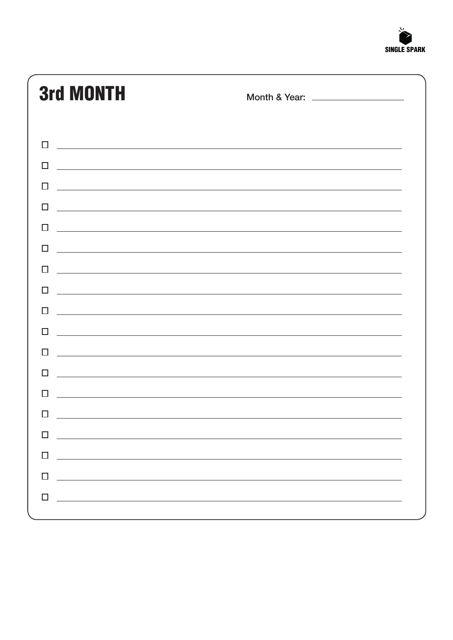

| <b>3rd MONTH</b>                                                                                                                                                                                                                               | Month & Year: ___________________ |
|------------------------------------------------------------------------------------------------------------------------------------------------------------------------------------------------------------------------------------------------|-----------------------------------|
|                                                                                                                                                                                                                                                |                                   |
| $\Box$<br><u> 1990 - Johann John Stone, meilich aus der Stone (1990)</u>                                                                                                                                                                       |                                   |
| <u> 1989 - Johann Stoff, deutscher Stoff, der Stoff, der Stoff, der Stoff, der Stoff, der Stoff, der Stoff, der S</u>                                                                                                                          |                                   |
| П<br><u> 1989 - Johann Stoff, amerikansk politiker (d. 1989)</u>                                                                                                                                                                               |                                   |
| П<br><u> 1989 - Johann Johann Stoff, deutscher Stoffen und der Stoffen und der Stoffen und der Stoffen und der Stoffen</u>                                                                                                                     |                                   |
| П<br><u> 1989 - Andrea Santana, amerikana amerikana amerikana amerikana amerikana amerikana amerikana amerikana amerika</u>                                                                                                                    |                                   |
| П                                                                                                                                                                                                                                              |                                   |
| П<br><u> 1989 - Johann Stoff, amerikansk politiker (d. 1989)</u>                                                                                                                                                                               |                                   |
| H<br><u> 1989 - Johann Stoff, amerikansk politiker (d. 1989)</u>                                                                                                                                                                               |                                   |
| H<br><u> 1989 - Johann Stoff, deutscher Stoff, der Stoff, der Stoff, der Stoff, der Stoff, der Stoff, der Stoff, der S</u>                                                                                                                     |                                   |
| П<br>and the contract of the contract of the contract of the contract of the contract of the contract of the contract of                                                                                                                       |                                   |
| <u> 1989 - Andrea Santa Alemania, amerikana amerikana amerikana amerikana amerikana amerikana amerikana amerikan</u><br>H                                                                                                                      |                                   |
| ΙI<br><u> 1989 - Jan Samuel Barbert et al. 1989 - Anna Barbert et al. 1989 - Anna Barbert et al. 1989 - Anna Barbert e</u>                                                                                                                     |                                   |
| and the control of the control of the control of the control of the control of the control of the control of the                                                                                                                               |                                   |
|                                                                                                                                                                                                                                                |                                   |
| п<br><u> 1999 - Jan Barbara de Santo de Santo de Santo de Santo de Santo de Santo de Santo de Santo de Santo de Santo</u>                                                                                                                      |                                   |
| □<br><u> Alexandria de la contrada de la contrada de la contrada de la contrada de la contrada de la contrada de la c</u>                                                                                                                      |                                   |
| $\Box$<br><u> 1989 - Johann Stoff, deutscher Stoffen und der Stoffen und der Stoffen und der Stoffen und der Stoffen und der Stoffen und der Stoffen und der Stoffen und der Stoffen und der Stoffen und der Stoffen und der Stoffen und d</u> |                                   |
| $\Box$<br><u> Andreas Andreas Andreas Andreas Andreas Andreas Andreas Andreas Andreas Andreas Andreas Andreas Andreas Andr</u>                                                                                                                 |                                   |
|                                                                                                                                                                                                                                                |                                   |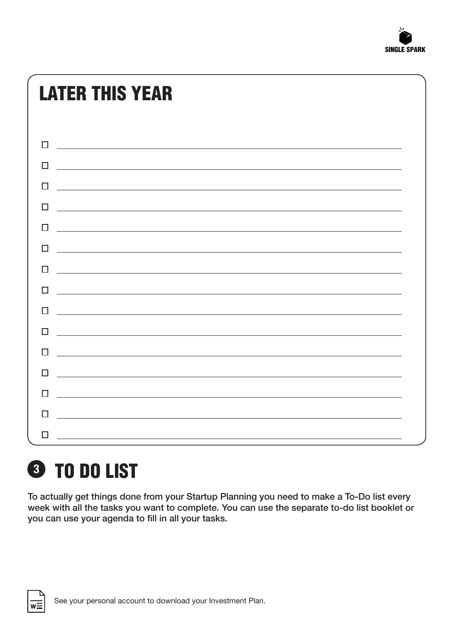

### LATER THIS YEAR

| П                                                                                                                               |
|---------------------------------------------------------------------------------------------------------------------------------|
| П                                                                                                                               |
| $\Box$<br><u> Alexandria de la contrada de la contrada de la contrada de la contrada de la contrada de la contrada de la c</u>  |
| П<br><u> 1989 - Johann Stein, marking fan de Amerikaanske kommunister fan de Amerikaanske kommunister fan de Amerikaans</u>     |
| П<br><u> 1980 - Andrea Andrew Maria (h. 1980).</u>                                                                              |
| $\Box$<br><u> 1989 - Johann Harry Harry Harry Harry Harry Harry Harry Harry Harry Harry Harry Harry Harry Harry Harry Harry</u> |
| п                                                                                                                               |
| П<br><u> 1980 - Andrea State Barbara, amerikan personal di sebagai personal di sebagai personal di sebagai personal di</u>      |
| <u> Alexandria de la contrada de la contrada de la contrada de la contrada de la contrada de la contrada de la c</u><br>П       |
| п<br><u> Andreas Andreas Andreas Andreas Andreas Andreas Andreas Andreas Andreas Andreas Andreas Andreas Andreas Andr</u>       |
| п                                                                                                                               |
| П<br><u> 1980 - Andrea State Barbara, amerikan personal di sebagai personal di sebagai personal di sebagai personal d</u>       |
| <u> 1989 - Johann Barn, mars ann an t-Amhainn an t-Amhainn an t-Amhainn an t-Amhainn an t-Amhainn an t-Amhainn an</u>           |
| п                                                                                                                               |
| $\Box$                                                                                                                          |



### TO DO LIST **3**

To actually get things done from your Startup Planning you need to make a To-Do list every week with all the tasks you want to complete. You can use the separate to-do list booklet or you can use your agenda to fill in all your tasks.

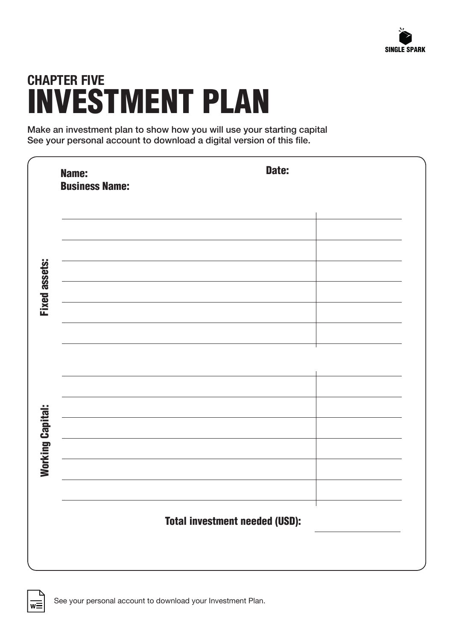

### **CHAPTER FIVE** INVESTMENT PLAN

Make an investment plan to show how you will use your starting capital See your personal account to download a digital version of this file.

|                         | Name:<br><b>Business Name:</b> | Date:                                 |
|-------------------------|--------------------------------|---------------------------------------|
|                         |                                |                                       |
| <b>Fixed assets:</b>    |                                |                                       |
|                         |                                |                                       |
|                         |                                |                                       |
|                         |                                |                                       |
|                         |                                |                                       |
|                         |                                |                                       |
| <b>Working Capital:</b> |                                |                                       |
|                         |                                |                                       |
|                         |                                | <b>Total investment needed (USD):</b> |
|                         |                                |                                       |

 $\overline{w}$